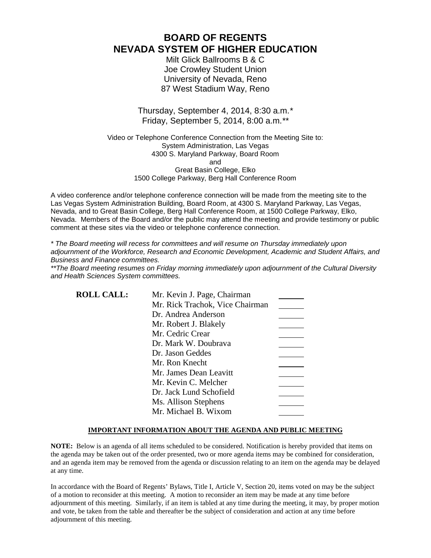# **BOARD OF REGENTS NEVADA SYSTEM OF HIGHER EDUCATION**

Milt Glick Ballrooms B & C Joe Crowley Student Union University of Nevada, Reno 87 West Stadium Way, Reno

## Thursday, September 4, 2014, 8:30 a.m.*\** Friday, September 5, 2014, 8:00 a.m.*\*\**

Video or Telephone Conference Connection from the Meeting Site to: System Administration, Las Vegas 4300 S. Maryland Parkway, Board Room and Great Basin College, Elko 1500 College Parkway, Berg Hall Conference Room

A video conference and/or telephone conference connection will be made from the meeting site to the Las Vegas System Administration Building, Board Room, at 4300 S. Maryland Parkway, Las Vegas, Nevada, and to Great Basin College, Berg Hall Conference Room, at 1500 College Parkway, Elko, Nevada. Members of the Board and/or the public may attend the meeting and provide testimony or public comment at these sites via the video or telephone conference connection.

*\* The Board meeting will recess for committees and will resume on Thursday immediately upon adjournment of the Workforce, Research and Economic Development, Academic and Student Affairs, and Business and Finance committees.* 

*\*\*The Board meeting resumes on Friday morning immediately upon adjournment of the Cultural Diversity and Health Sciences System committees.*

| <b>ROLL CALL:</b> | Mr. Kevin J. Page, Chairman     |  |
|-------------------|---------------------------------|--|
|                   | Mr. Rick Trachok, Vice Chairman |  |
|                   | Dr. Andrea Anderson             |  |
|                   | Mr. Robert J. Blakely           |  |
|                   | Mr. Cedric Crear                |  |
|                   | Dr. Mark W. Doubrava            |  |
|                   | Dr. Jason Geddes                |  |
|                   | Mr. Ron Knecht                  |  |
|                   | Mr. James Dean Leavitt          |  |
|                   | Mr. Kevin C. Melcher            |  |
|                   | Dr. Jack Lund Schofield         |  |
|                   | Ms. Allison Stephens            |  |
|                   | Mr. Michael B. Wixom            |  |

### **IMPORTANT INFORMATION ABOUT THE AGENDA AND PUBLIC MEETING**

**NOTE:** Below is an agenda of all items scheduled to be considered. Notification is hereby provided that items on the agenda may be taken out of the order presented, two or more agenda items may be combined for consideration, and an agenda item may be removed from the agenda or discussion relating to an item on the agenda may be delayed at any time.

In accordance with the Board of Regents' Bylaws, Title I, Article V, Section 20, items voted on may be the subject of a motion to reconsider at this meeting. A motion to reconsider an item may be made at any time before adjournment of this meeting. Similarly, if an item is tabled at any time during the meeting, it may, by proper motion and vote, be taken from the table and thereafter be the subject of consideration and action at any time before adjournment of this meeting.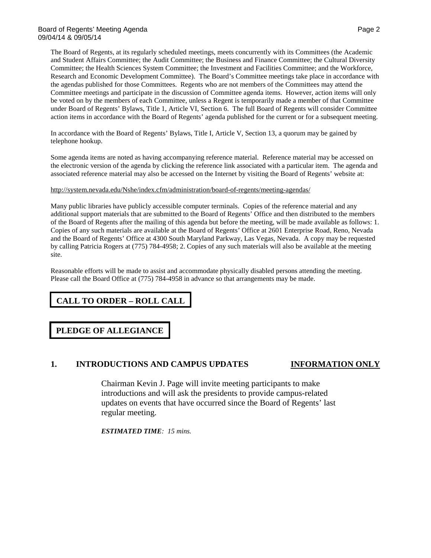The Board of Regents, at its regularly scheduled meetings, meets concurrently with its Committees (the Academic and Student Affairs Committee; the Audit Committee; the Business and Finance Committee; the Cultural Diversity Committee; the Health Sciences System Committee; the Investment and Facilities Committee; and the Workforce, Research and Economic Development Committee). The Board's Committee meetings take place in accordance with the agendas published for those Committees. Regents who are not members of the Committees may attend the Committee meetings and participate in the discussion of Committee agenda items. However, action items will only be voted on by the members of each Committee, unless a Regent is temporarily made a member of that Committee under Board of Regents' Bylaws, Title 1, Article VI, Section 6. The full Board of Regents will consider Committee action items in accordance with the Board of Regents' agenda published for the current or for a subsequent meeting.

In accordance with the Board of Regents' Bylaws, Title I, Article V, Section 13, a quorum may be gained by telephone hookup.

Some agenda items are noted as having accompanying reference material. Reference material may be accessed on the electronic version of the agenda by clicking the reference link associated with a particular item. The agenda and associated reference material may also be accessed on the Internet by visiting the Board of Regents' website at:

### <http://system.nevada.edu/Nshe/index.cfm/administration/board-of-regents/meeting-agendas/>

Many public libraries have publicly accessible computer terminals. Copies of the reference material and any additional support materials that are submitted to the Board of Regents' Office and then distributed to the members of the Board of Regents after the mailing of this agenda but before the meeting, will be made available as follows: 1. Copies of any such materials are available at the Board of Regents' Office at 2601 Enterprise Road, Reno, Nevada and the Board of Regents' Office at 4300 South Maryland Parkway, Las Vegas, Nevada. A copy may be requested by calling Patricia Rogers at (775) 784-4958; 2. Copies of any such materials will also be available at the meeting site.

Reasonable efforts will be made to assist and accommodate physically disabled persons attending the meeting. Please call the Board Office at (775) 784-4958 in advance so that arrangements may be made.

# **CALL TO ORDER – ROLL CALL**

### **PLEDGE OF ALLEGIANCE**

### **1. INTRODUCTIONS AND CAMPUS UPDATES INFORMATION ONLY**

Chairman Kevin J. Page will invite meeting participants to make introductions and will ask the presidents to provide campus-related updates on events that have occurred since the Board of Regents' last regular meeting.

*ESTIMATED TIME: 15 mins.*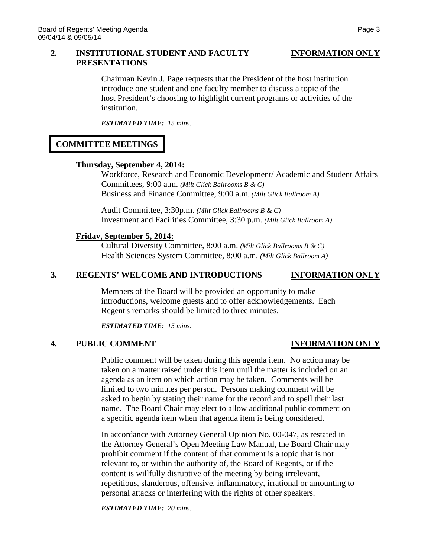### **2. INSTITUTIONAL STUDENT AND FACULTY INFORMATION ONLY PRESENTATIONS**

Chairman Kevin J. Page requests that the President of the host institution introduce one student and one faculty member to discuss a topic of the host President's choosing to highlight current programs or activities of the institution.

*ESTIMATED TIME: 15 mins.*

# **COMMITTEE MEETINGS**

### **Thursday, September 4, 2014:**

Workforce, Research and Economic Development/ Academic and Student Affairs Committees, 9:00 a.m. *(Milt Glick Ballrooms B & C)*  Business and Finance Committee, 9:00 a.m*. (Milt Glick Ballroom A)*

Audit Committee, 3:30p.m. *(Milt Glick Ballrooms B & C)* Investment and Facilities Committee, 3:30 p.m. *(Milt Glick Ballroom A)*

## **Friday, September 5, 2014:**

Cultural Diversity Committee, 8:00 a.m. *(Milt Glick Ballrooms B & C)* Health Sciences System Committee, 8:00 a.m. *(Milt Glick Ballroom A)*

### **3. REGENTS' WELCOME AND INTRODUCTIONS INFORMATION ONLY**

Members of the Board will be provided an opportunity to make introductions, welcome guests and to offer acknowledgements. Each Regent's remarks should be limited to three minutes.

*ESTIMATED TIME: 15 mins.*

# **4. PUBLIC COMMENT INFORMATION ONLY**

Public comment will be taken during this agenda item. No action may be taken on a matter raised under this item until the matter is included on an agenda as an item on which action may be taken. Comments will be limited to two minutes per person. Persons making comment will be asked to begin by stating their name for the record and to spell their last name. The Board Chair may elect to allow additional public comment on a specific agenda item when that agenda item is being considered.

In accordance with Attorney General Opinion No. 00-047, as restated in the Attorney General's Open Meeting Law Manual, the Board Chair may prohibit comment if the content of that comment is a topic that is not relevant to, or within the authority of, the Board of Regents, or if the content is willfully disruptive of the meeting by being irrelevant, repetitious, slanderous, offensive, inflammatory, irrational or amounting to personal attacks or interfering with the rights of other speakers.

*ESTIMATED TIME: 20 mins.*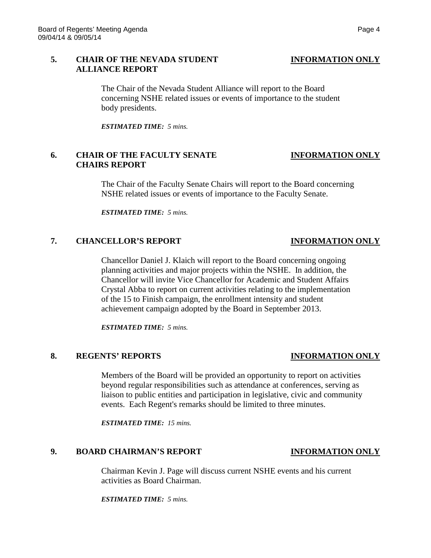## **5. CHAIR OF THE NEVADA STUDENT INFORMATION ONLY ALLIANCE REPORT**

The Chair of the Nevada Student Alliance will report to the Board concerning NSHE related issues or events of importance to the student body presidents.

*ESTIMATED TIME: 5 mins.*

# **6. CHAIR OF THE FACULTY SENATE INFORMATION ONLY CHAIRS REPORT**

The Chair of the Faculty Senate Chairs will report to the Board concerning NSHE related issues or events of importance to the Faculty Senate.

*ESTIMATED TIME: 5 mins.*

### **7. CHANCELLOR'S REPORT INFORMATION ONLY**

Chancellor Daniel J. Klaich will report to the Board concerning ongoing planning activities and major projects within the NSHE. In addition, the Chancellor will invite Vice Chancellor for Academic and Student Affairs Crystal Abba to report on current activities relating to the implementation of the 15 to Finish campaign, the enrollment intensity and student achievement campaign adopted by the Board in September 2013.

*ESTIMATED TIME: 5 mins.*

### **8. REGENTS' REPORTS INFORMATION ONLY**

Members of the Board will be provided an opportunity to report on activities beyond regular responsibilities such as attendance at conferences, serving as liaison to public entities and participation in legislative, civic and community events. Each Regent's remarks should be limited to three minutes.

*ESTIMATED TIME: 15 mins.*

## **9. BOARD CHAIRMAN'S REPORT INFORMATION ONLY**

Chairman Kevin J. Page will discuss current NSHE events and his current activities as Board Chairman.

*ESTIMATED TIME: 5 mins.*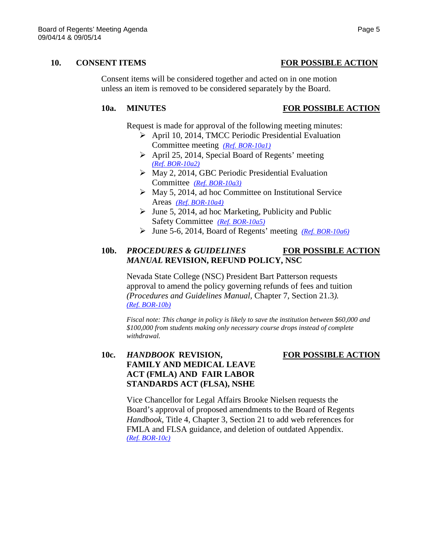### **10. CONSENT ITEMS FOR POSSIBLE ACTION**

Consent items will be considered together and acted on in one motion unless an item is removed to be considered separately by the Board.

## **10a. MINUTES FOR POSSIBLE ACTION**

Request is made for approval of the following meeting minutes:

- April 10, 2014, TMCC Periodic Presidential Evaluation Committee meeting *[\(Ref. BOR-10a1\)](http://system.nevada.edu/tasks/sites/Nshe/assets/File/BoardOfRegents/Agendas/2014/sep-mtgs/bor-refs/10a1.pdf)*
- $\triangleright$  April 25, 2014, Special Board of Regents' meeting *[\(Ref. BOR-10a2\)](http://system.nevada.edu/tasks/sites/Nshe/assets/File/BoardOfRegents/Agendas/2014/sep-mtgs/bor-refs/10a2.pdf)*
- $\triangleright$  May 2, 2014, GBC Periodic Presidential Evaluation Committee *[\(Ref. BOR-10a3\)](http://system.nevada.edu/tasks/sites/Nshe/assets/File/BoardOfRegents/Agendas/2014/sep-mtgs/bor-refs/10a3.pdf)*
- $\triangleright$  May 5, 2014, ad hoc Committee on Institutional Service Areas *[\(Ref. BOR-10a4\)](http://system.nevada.edu/tasks/sites/Nshe/assets/File/BoardOfRegents/Agendas/2014/sep-mtgs/bor-refs/10a4.pdf)*
- $\blacktriangleright$  June 5, 2014, ad hoc Marketing, Publicity and Public Safety Committee *[\(Ref. BOR-10a5\)](http://system.nevada.edu/tasks/sites/Nshe/assets/File/BoardOfRegents/Agendas/2014/sep-mtgs/bor-refs/10a5.pdf)*
- June 5-6, 2014, Board of Regents' meeting *[\(Ref. BOR-10a6\)](http://system.nevada.edu/tasks/sites/Nshe/assets/File/BoardOfRegents/Agendas/2014/sep-mtgs/bor-refs/10a6.pdf)*

## **10b.** *PROCEDURES & GUIDELINES* **FOR POSSIBLE ACTION** *MANUAL* **REVISION, REFUND POLICY, NSC**

Nevada State College (NSC) President Bart Patterson requests approval to amend the policy governing refunds of fees and tuition *(Procedures and Guidelines Manual,* Chapter 7, Section 21.3*). [\(Ref. BOR-10b\)](http://system.nevada.edu/tasks/sites/Nshe/assets/File/BoardOfRegents/Agendas/2014/sep-mtgs/bor-refs/10b.pdf)*

*Fiscal note: This change in policy is likely to save the institution between \$60,000 and \$100,000 from students making only necessary course drops instead of complete withdrawal.*

# **10c.** *HANDBOOK* **REVISION, FOR POSSIBLE ACTION FAMILY AND MEDICAL LEAVE ACT (FMLA) AND FAIR LABOR STANDARDS ACT (FLSA), NSHE**

Vice Chancellor for Legal Affairs Brooke Nielsen requests the Board's approval of proposed amendments to the Board of Regents *Handbook*, Title 4, Chapter 3, Section 21 to add web references for FMLA and FLSA guidance, and deletion of outdated Appendix. *[\(Ref. BOR-10c\)](http://system.nevada.edu/tasks/sites/Nshe/assets/File/BoardOfRegents/Agendas/2014/sep-mtgs/bor-refs/10c.pdf)*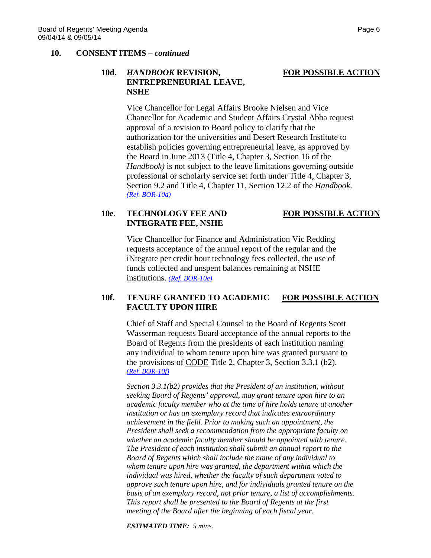### **10. CONSENT ITEMS –** *continued*

## **10d.** *HANDBOOK* **REVISION, FOR POSSIBLE ACTION ENTREPRENEURIAL LEAVE, NSHE**

Vice Chancellor for Legal Affairs Brooke Nielsen and Vice Chancellor for Academic and Student Affairs Crystal Abba request approval of a revision to Board policy to clarify that the authorization for the universities and Desert Research Institute to establish policies governing entrepreneurial leave, as approved by the Board in June 2013 (Title 4, Chapter 3, Section 16 of the *Handbook)* is not subject to the leave limitations governing outside professional or scholarly service set forth under Title 4, Chapter 3, Section 9.2 and Title 4, Chapter 11, Section 12.2 of the *Handbook*. *[\(Ref. BOR-10d\)](http://system.nevada.edu/tasks/sites/Nshe/assets/File/BoardOfRegents/Agendas/2014/sep-mtgs/bor-refs/10d.pdf)*

# 10e. **TECHNOLOGY FEE AND FOR POSSIBLE ACTION INTEGRATE FEE, NSHE**

Vice Chancellor for Finance and Administration Vic Redding requests acceptance of the annual report of the regular and the iNtegrate per credit hour technology fees collected, the use of funds collected and unspent balances remaining at NSHE institutions. *[\(Ref. BOR-10e\)](http://system.nevada.edu/tasks/sites/Nshe/assets/File/BoardOfRegents/Agendas/2014/sep-mtgs/bor-refs/10e.pdf)*

## **10f. TENURE GRANTED TO ACADEMIC FOR POSSIBLE ACTION FACULTY UPON HIRE**

Chief of Staff and Special Counsel to the Board of Regents Scott Wasserman requests Board acceptance of the annual reports to the Board of Regents from the presidents of each institution naming any individual to whom tenure upon hire was granted pursuant to the provisions of CODE Title 2, Chapter 3, Section 3.3.1 (b2). *[\(Ref. BOR-10f\)](http://system.nevada.edu/tasks/sites/Nshe/assets/File/BoardOfRegents/Agendas/2014/sep-mtgs/bor-refs/10f.pdf)*

*Section 3.3.1(b2) provides that the President of an institution, without seeking Board of Regents' approval, may grant tenure upon hire to an academic faculty member who at the time of hire holds tenure at another institution or has an exemplary record that indicates extraordinary achievement in the field. Prior to making such an appointment, the President shall seek a recommendation from the appropriate faculty on whether an academic faculty member should be appointed with tenure. The President of each institution shall submit an annual report to the Board of Regents which shall include the name of any individual to whom tenure upon hire was granted, the department within which the individual was hired, whether the faculty of such department voted to approve such tenure upon hire, and for individuals granted tenure on the basis of an exemplary record, not prior tenure, a list of accomplishments. This report shall be presented to the Board of Regents at the first meeting of the Board after the beginning of each fiscal year.*

*ESTIMATED TIME: 5 mins.*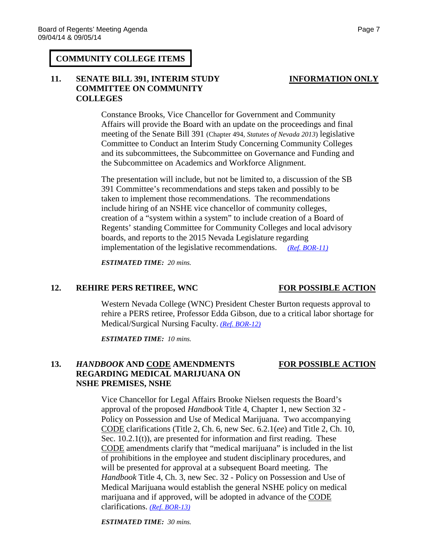### **COMMUNITY COLLEGE ITEMS**

# **11. SENATE BILL 391, INTERIM STUDY INFORMATION ONLY COMMITTEE ON COMMUNITY COLLEGES**

Constance Brooks, Vice Chancellor for Government and Community Affairs will provide the Board with an update on the proceedings and final meeting of the Senate Bill 391 (Chapter 494, *Statutes of Nevada 2013*) legislative Committee to Conduct an Interim Study Concerning Community Colleges and its subcommittees, the Subcommittee on Governance and Funding and the Subcommittee on Academics and Workforce Alignment.

The presentation will include, but not be limited to, a discussion of the SB 391 Committee's recommendations and steps taken and possibly to be taken to implement those recommendations. The recommendations include hiring of an NSHE vice chancellor of community colleges, creation of a "system within a system" to include creation of a Board of Regents' standing Committee for Community Colleges and local advisory boards, and reports to the 2015 Nevada Legislature regarding implementation of the legislative recommendations. *[\(Ref. BOR-11\)](http://system.nevada.edu/tasks/sites/Nshe/assets/File/BoardOfRegents/Agendas/2014/sep-mtgs/bor-refs/11.pdf)*

*ESTIMATED TIME: 20 mins.*

### **12. REHIRE PERS RETIREE, WNC FOR POSSIBLE ACTION**

Western Nevada College (WNC) President Chester Burton requests approval to rehire a PERS retiree, Professor Edda Gibson, due to a critical labor shortage for Medical/Surgical Nursing Faculty. *[\(Ref. BOR-12\)](http://system.nevada.edu/tasks/sites/Nshe/assets/File/BoardOfRegents/Agendas/2014/sep-mtgs/bor-refs/12.pdf)*

*ESTIMATED TIME: 10 mins.*

# **13.** *HANDBOOK* **AND CODE AMENDMENTS FOR POSSIBLE ACTION REGARDING MEDICAL MARIJUANA ON NSHE PREMISES, NSHE**

Vice Chancellor for Legal Affairs Brooke Nielsen requests the Board's approval of the proposed *Handbook* Title 4, Chapter 1, new Section 32 - Policy on Possession and Use of Medical Marijuana. Two accompanying CODE clarifications (Title 2, Ch. 6, new Sec. 6.2.1(*ee*) and Title 2, Ch. 10, Sec. 10.2.1(t)), are presented for information and first reading. These CODE amendments clarify that "medical marijuana" is included in the list of prohibitions in the employee and student disciplinary procedures, and will be presented for approval at a subsequent Board meeting. The *Handbook* Title 4, Ch. 3, new Sec. 32 - Policy on Possession and Use of Medical Marijuana would establish the general NSHE policy on medical marijuana and if approved, will be adopted in advance of the CODE clarifications. *[\(Ref. BOR-13\)](http://system.nevada.edu/tasks/sites/Nshe/assets/File/BoardOfRegents/Agendas/2014/sep-mtgs/bor-refs/13.pdf)*

*ESTIMATED TIME: 30 mins.*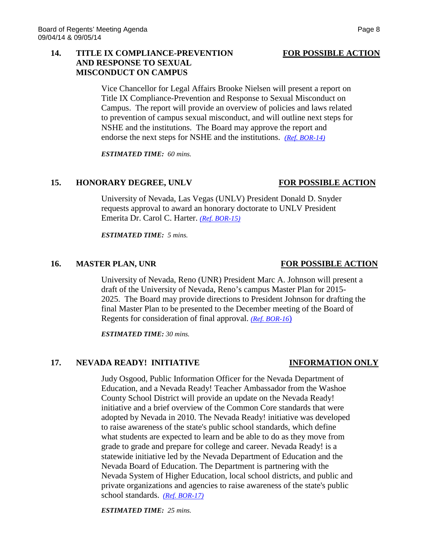### 14. **TITLE IX COMPLIANCE-PREVENTION** FOR POSSIBLE ACTION **AND RESPONSE TO SEXUAL MISCONDUCT ON CAMPUS**

Vice Chancellor for Legal Affairs Brooke Nielsen will present a report on Title IX Compliance-Prevention and Response to Sexual Misconduct on Campus. The report will provide an overview of policies and laws related to prevention of campus sexual misconduct, and will outline next steps for NSHE and the institutions. The Board may approve the report and endorse the next steps for NSHE and the institutions. *[\(Ref. BOR-14\)](http://system.nevada.edu/tasks/sites/Nshe/assets/File/BoardOfRegents/Agendas/2014/sep-mtgs/bor-refs/14.pdf)*

*ESTIMATED TIME: 60 mins.*

### 15. HONORARY DEGREE, UNLV FOR POSSIBLE ACTION

University of Nevada, Las Vegas (UNLV) President Donald D. Snyder requests approval to award an honorary doctorate to UNLV President Emerita Dr. Carol C. Harter. *[\(Ref. BOR-15\)](http://system.nevada.edu/tasks/sites/Nshe/assets/File/BoardOfRegents/Agendas/2014/sep-mtgs/bor-refs/15.pdf)*

*ESTIMATED TIME: 5 mins.*

### **16. MASTER PLAN, UNR FOR POSSIBLE ACTION**

University of Nevada, Reno (UNR) President Marc A. Johnson will present a draft of the University of Nevada, Reno's campus Master Plan for 2015- 2025. The Board may provide directions to President Johnson for drafting the final Master Plan to be presented to the December meeting of the Board of Regents for consideration of final approval. *[\(Ref. BOR-16](http://system.nevada.edu/tasks/sites/Nshe/assets/File/BoardOfRegents/Agendas/2014/sep-mtgs/bor-refs/16.pdf)*)

*ESTIMATED TIME: 30 mins.*

### 17. NEVADA READY! INITIATIVE **INFORMATION ONLY**

Judy Osgood, Public Information Officer for the Nevada Department of Education, and a Nevada Ready! Teacher Ambassador from the Washoe County School District will provide an update on the Nevada Ready! initiative and a brief overview of the Common Core standards that were adopted by Nevada in 2010. The Nevada Ready! initiative was developed to raise awareness of the state's public school standards, which define what students are expected to learn and be able to do as they move from grade to grade and prepare for college and career. Nevada Ready! is a statewide initiative led by the Nevada Department of Education and the Nevada Board of Education. The Department is partnering with the Nevada System of Higher Education, local school districts, and public and private organizations and agencies to raise awareness of the state's public school standards. *[\(Ref. BOR-17\)](http://system.nevada.edu/tasks/sites/Nshe/assets/File/BoardOfRegents/Agendas/2014/sep-mtgs/bor-refs/17.pdf)*

*ESTIMATED TIME: 25 mins.*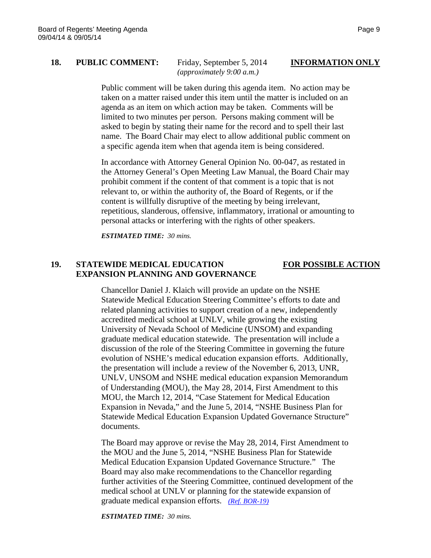# **18. PUBLIC COMMENT:** Friday, September 5, 2014 **INFORMATION ONLY**

*(approximately 9:00 a.m.)*

Public comment will be taken during this agenda item. No action may be taken on a matter raised under this item until the matter is included on an agenda as an item on which action may be taken. Comments will be limited to two minutes per person. Persons making comment will be asked to begin by stating their name for the record and to spell their last name. The Board Chair may elect to allow additional public comment on a specific agenda item when that agenda item is being considered.

In accordance with Attorney General Opinion No. 00-047, as restated in the Attorney General's Open Meeting Law Manual, the Board Chair may prohibit comment if the content of that comment is a topic that is not relevant to, or within the authority of, the Board of Regents, or if the content is willfully disruptive of the meeting by being irrelevant, repetitious, slanderous, offensive, inflammatory, irrational or amounting to personal attacks or interfering with the rights of other speakers.

*ESTIMATED TIME: 30 mins.*

### **19. STATEWIDE MEDICAL EDUCATION FOR POSSIBLE ACTION EXPANSION PLANNING AND GOVERNANCE**

Chancellor Daniel J. Klaich will provide an update on the NSHE Statewide Medical Education Steering Committee's efforts to date and related planning activities to support creation of a new, independently accredited medical school at UNLV, while growing the existing University of Nevada School of Medicine (UNSOM) and expanding graduate medical education statewide. The presentation will include a discussion of the role of the Steering Committee in governing the future evolution of NSHE's medical education expansion efforts. Additionally, the presentation will include a review of the November 6, 2013, UNR, UNLV, UNSOM and NSHE medical education expansion Memorandum of Understanding (MOU), the May 28, 2014, First Amendment to this MOU, the March 12, 2014, "Case Statement for Medical Education Expansion in Nevada," and the June 5, 2014, "NSHE Business Plan for Statewide Medical Education Expansion Updated Governance Structure" documents.

The Board may approve or revise the May 28, 2014, First Amendment to the MOU and the June 5, 2014, "NSHE Business Plan for Statewide Medical Education Expansion Updated Governance Structure." The Board may also make recommendations to the Chancellor regarding further activities of the Steering Committee, continued development of the medical school at UNLV or planning for the statewide expansion of graduate medical expansion efforts. *[\(Ref. BOR-19\)](http://system.nevada.edu/tasks/sites/Nshe/assets/File/BoardOfRegents/Agendas/2014/sep-mtgs/bor-refs/19.pdf)*

*ESTIMATED TIME: 30 mins.*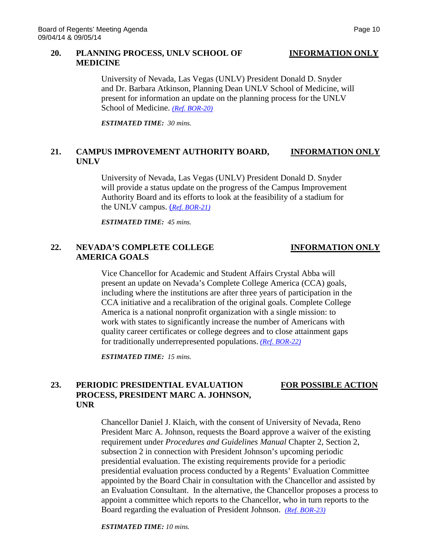### **20. PLANNING PROCESS, UNLV SCHOOL OF INFORMATION ONLY MEDICINE**

University of Nevada, Las Vegas (UNLV) President Donald D. Snyder and Dr. Barbara Atkinson, Planning Dean UNLV School of Medicine, will present for information an update on the planning process for the UNLV School of Medicine. *[\(Ref. BOR-20\)](http://system.nevada.edu/tasks/sites/Nshe/assets/File/BoardOfRegents/Agendas/2014/sep-mtgs/bor-refs/20.pdf)*

*ESTIMATED TIME: 30 mins.*

## **21. CAMPUS IMPROVEMENT AUTHORITY BOARD, INFORMATION ONLY UNLV**

University of Nevada, Las Vegas (UNLV) President Donald D. Snyder will provide a status update on the progress of the Campus Improvement Authority Board and its efforts to look at the feasibility of a stadium for the UNLV campus. (*[Ref. BOR-21\)](http://system.nevada.edu/tasks/sites/Nshe/assets/File/BoardOfRegents/Agendas/2014/sep-mtgs/bor-refs/21.pdf)*

*ESTIMATED TIME: 45 mins.*

## **22. NEVADA'S COMPLETE COLLEGE INFORMATION ONLY AMERICA GOALS**

Vice Chancellor for Academic and Student Affairs Crystal Abba will present an update on Nevada's Complete College America (CCA) goals, including where the institutions are after three years of participation in the CCA initiative and a recalibration of the original goals. Complete College America is a national nonprofit organization with a single mission: to work with states to significantly increase the number of Americans with quality career certificates or college degrees and to close attainment gaps for traditionally underrepresented populations. *[\(Ref. BOR-22\)](http://system.nevada.edu/tasks/sites/Nshe/assets/File/BoardOfRegents/Agendas/2014/sep-mtgs/bor-refs/22.pdf)*

*ESTIMATED TIME: 15 mins.*

# **23. PERIODIC PRESIDENTIAL EVALUATION FOR POSSIBLE ACTION PROCESS, PRESIDENT MARC A. JOHNSON, UNR**

## Chancellor Daniel J. Klaich, with the consent of University of Nevada, Reno President Marc A. Johnson, requests the Board approve a waiver of the existing requirement under *Procedures and Guidelines Manual* Chapter 2, Section 2, subsection 2 in connection with President Johnson's upcoming periodic presidential evaluation. The existing requirements provide for a periodic presidential evaluation process conducted by a Regents' Evaluation Committee appointed by the Board Chair in consultation with the Chancellor and assisted by an Evaluation Consultant. In the alternative, the Chancellor proposes a process to appoint a committee which reports to the Chancellor, who in turn reports to the Board regarding the evaluation of President Johnson. *[\(Ref. BOR-23\)](http://system.nevada.edu/tasks/sites/Nshe/assets/File/BoardOfRegents/Agendas/2014/sep-mtgs/bor-refs/23.pdf)*

*ESTIMATED TIME: 10 mins.*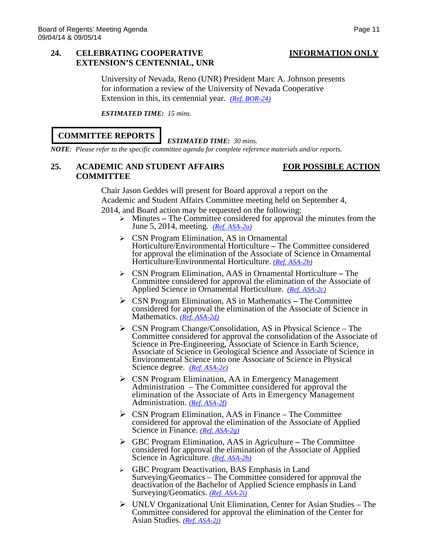## **24. CELEBRATING COOPERATIVE INFORMATION ONLY EXTENSION'S CENTENNIAL, UNR**

University of Nevada, Reno (UNR) President Marc A. Johnson presents for information a review of the University of Nevada Cooperative Extension in this, its centennial year. *[\(Ref. BOR-24\)](http://system.nevada.edu/tasks/sites/Nshe/assets/File/BoardOfRegents/Agendas/2014/sep-mtgs/bor-refs/24.pdf)*

*ESTIMATED TIME: 15 mins.*

## **COMMITTEE REPORTS**

### *ESTIMATED TIME: 30 mins.*

*NOTE: Please refer to the specific committee agenda for complete reference materials and/or reports.*

## **25. ACADEMIC AND STUDENT AFFAIRS FOR POSSIBLE ACTION COMMITTEE**

Chair Jason Geddes will present for Board approval a report on the Academic and Student Affairs Committee meeting held on September 4, 2014, and Board action may be requested on the following:

- Minutes **–** The Committee considered for approval the minutes from the June 5, 2014, meeting. *(Ref. [ASA-2a\)](http://system.nevada.edu/tasks/sites/Nshe/assets/File/BoardOfRegents/Agendas/2014/sep-mtgs/asa-refs/ASA-2a.pdf)*
- CSN Program Elimination, AS in Ornamental Horticulture/Environmental Horticulture **–** The Committee considered for approval the elimination of the Associate of Science in Ornamental Horticulture/Environmental Horticulture. *[\(Ref. ASA-2b\)](http://system.nevada.edu/tasks/sites/Nshe/assets/File/BoardOfRegents/Agendas/2014/sep-mtgs/asa-refs/ASA-2b.pdf)*
- CSN Program Elimination, AAS in Ornamental Horticulture **–** The Committee considered for approval the elimination of the Associate of Applied Science in Ornamental Horticulture. *[\(Ref. ASA-2c\)](http://system.nevada.edu/tasks/sites/Nshe/assets/File/BoardOfRegents/Agendas/2014/sep-mtgs/asa-refs/ASA-2c.pdf)*
- CSN Program Elimination, AS in Mathematics **–** The Committee considered for approval the elimination of the Associate of Science in Mathematics. *[\(Ref. ASA-2d\)](http://system.nevada.edu/tasks/sites/Nshe/assets/File/BoardOfRegents/Agendas/2014/sep-mtgs/asa-refs/ASA-2d.pdf)*
- $\triangleright$  CSN Program Change/Consolidation, AS in Physical Science The Committee considered for approval the consolidation of the Associate of Science in Pre-Engineering, Associate of Science in Earth Science, Associate of Science in Geological Science and Associate of Science in Environmental Science into one Associate of Science in Physical Science degree. *[\(Ref. ASA-2e\)](http://system.nevada.edu/tasks/sites/Nshe/assets/File/BoardOfRegents/Agendas/2014/sep-mtgs/asa-refs/ASA-2e.pdf)*
- CSN Program Elimination, AA in Emergency Management Administration – The Committee considered for approval the elimination of the Associate of Arts in Emergency Management Administration. *[\(Ref. ASA-2f\)](http://system.nevada.edu/tasks/sites/Nshe/assets/File/BoardOfRegents/Agendas/2014/sep-mtgs/asa-refs/ASA-2f.pdf)*
- $\triangleright$  CSN Program Elimination, AAS in Finance The Committee considered for approval the elimination of the Associate of Applied Science in Finance. *[\(Ref. ASA-2g\)](http://system.nevada.edu/tasks/sites/Nshe/assets/File/BoardOfRegents/Agendas/2014/sep-mtgs/asa-refs/ASA-2g.pdf)*
- GBC Program Elimination, AAS in Agriculture **–** The Committee considered for approval the elimination of the Associate of Applied Science in Agriculture. *[\(Ref. ASA-2h\)](http://system.nevada.edu/tasks/sites/Nshe/assets/File/BoardOfRegents/Agendas/2014/sep-mtgs/asa-refs/ASA-2h.pdf)*
- GBC Program Deactivation, BAS Emphasis in Land Surveying/Geomatics – The Committee considered for approval the deactivation of the Bachelor of Applied Science emphasis in Land Surveying/Geomatics. *[\(Ref. ASA-2i\)](http://system.nevada.edu/tasks/sites/Nshe/assets/File/BoardOfRegents/Agendas/2014/sep-mtgs/asa-refs/ASA-2i.pdf)*
- UNLV Organizational Unit Elimination, Center for Asian Studies The Committee considered for approval the elimination of the Center for Asian Studies. *[\(Ref. ASA-2j\)](http://system.nevada.edu/tasks/sites/Nshe/assets/File/BoardOfRegents/Agendas/2014/sep-mtgs/asa-refs/ASA-2j.pdf)*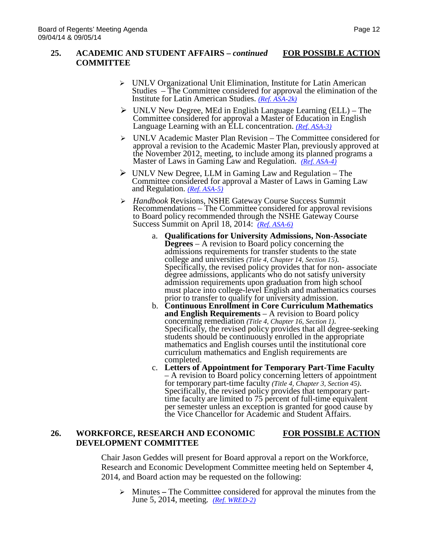### **25. ACADEMIC AND STUDENT AFFAIRS –** *continued* **FOR POSSIBLE ACTION COMMITTEE**

- $\triangleright$  UNLV Organizational Unit Elimination, Institute for Latin American Studies – The Committee considered for approval the elimination of the Institute for Latin American Studies. *[\(Ref. ASA-2k\)](http://system.nevada.edu/tasks/sites/Nshe/assets/File/BoardOfRegents/Agendas/2014/sep-mtgs/asa-refs/ASA-2k.pdf)*
- $\triangleright$  UNLV New Degree, MEd in English Language Learning (ELL) The Committee considered for approval a Master of Education in English Language Learning with an ELL concentration. *(Ref. [ASA-3\)](http://system.nevada.edu/tasks/sites/Nshe/assets/File/BoardOfRegents/Agendas/2014/sep-mtgs/asa-refs/ASA-3.pdf)*
- UNLV Academic Master Plan Revision The Committee considered for approval a revision to the Academic Master Plan, previously approved at the November 2012, meeting, to include among its planned programs a Master of Laws in Gaming Law and Regulation. *(Ref. [ASA-4\)](http://system.nevada.edu/tasks/sites/Nshe/assets/File/BoardOfRegents/Agendas/2014/sep-mtgs/asa-refs/ASA-4.pdf)*
- $\triangleright$  UNLV New Degree, LLM in Gaming Law and Regulation The Committee considered for approval a Master of Laws in Gaming Law and Regulation. *(Ref. [ASA-5\)](http://system.nevada.edu/tasks/sites/Nshe/assets/File/BoardOfRegents/Agendas/2014/sep-mtgs/asa-refs/ASA-5.pdf)*
- *Handbook* Revisions, NSHE Gateway Course Success Summit Recommendations – The Committee considered for approval revisions to Board policy recommended through the NSHE Gateway Course Success Summit on April 18, 2014: *(Ref. [ASA-6\)](http://system.nevada.edu/tasks/sites/Nshe/assets/File/BoardOfRegents/Agendas/2014/sep-mtgs/asa-refs/ASA-6.pdf)*
	- a. **Qualifications for University Admissions, Non-Associate Degrees** – A revision to Board policy concerning the admissions requirements for transfer students to the state college and universities (Title 4, Chapter 14, Section 15). Specifically, the revised policy provides that for non- associate degree admissions, applicants who do not satisfy university admission requirements upon graduation from high school must place into college-level English and mathematics courses prior to transfer to qualify for university admission.
	- b. **Continuous Enrollment in Core Curriculum Mathematics and English Requirements** – A revision to Board policy concerning remediation *(Title 4, Chapter 16, Section 1)*. Specifically, the revised policy provides that all degree-seeking students should be continuously enrolled in the appropriate mathematics and English courses until the institutional core curriculum mathematics and English requirements are completed.<br>c. Letters of Appointment for Temporary Part-Time Faculty
	- A revision to Board policy concerning letters of appointment for temporary part-time faculty *(Title 4, Chapter 3, Section 45)*. Specifically, the revised policy provides that temporary part-<br>time faculty are limited to 75 percent of full-time equivalent per semester unless an exception is granted for good cause by the Vice Chancellor for Academic and Student Affairs.

# **26. WORKFORCE, RESEARCH AND ECONOMIC FOR POSSIBLE ACTION DEVELOPMENT COMMITTEE**

Chair Jason Geddes will present for Board approval a report on the Workforce, Research and Economic Development Committee meeting held on September 4, 2014, and Board action may be requested on the following:

 Minutes **–** The Committee considered for approval the minutes from the June 5, 2014, meeting. *(Ref. [WRED-2\)](http://system.nevada.edu/tasks/sites/Nshe/assets/File/BoardOfRegents/Agendas/2014/sep-mtgs/wred-refs/WRED-2.pdf)*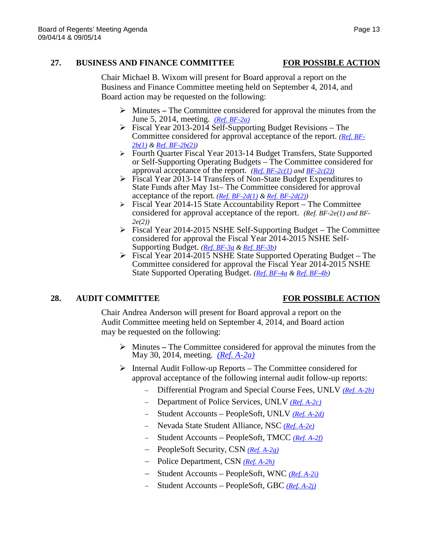### **27. BUSINESS AND FINANCE COMMITTEE FOR POSSIBLE ACTION**

Chair Michael B. Wixom will present for Board approval a report on the Business and Finance Committee meeting held on September 4, 2014, and Board action may be requested on the following:

- Minutes **–** The Committee considered for approval the minutes from the June 5, 2014, meeting. *(Ref. [BF-2a\)](http://system.nevada.edu/tasks/sites/Nshe/assets/File/BoardOfRegents/Agendas/2014/sep-mtgs/bf-refs/BF-2a.pdf)*
- $\triangleright$  Fiscal Year 2013-2014 Self-Supporting Budget Revisions The Committee considered for approval acceptance of the report. *[\(Ref. BF-](http://system.nevada.edu/tasks/sites/Nshe/assets/File/BoardOfRegents/Agendas/2014/sep-mtgs/bf-refs/BF-2b(1).pdf)[2b\(1\)](http://system.nevada.edu/tasks/sites/Nshe/assets/File/BoardOfRegents/Agendas/2014/sep-mtgs/bf-refs/BF-2b(1).pdf) & [Ref. BF-2b\(2\)\)](http://system.nevada.edu/tasks/sites/Nshe/assets/File/BoardOfRegents/Agendas/2014/sep-mtgs/bf-refs/BF-2b(2).pdf)*
- Fourth Quarter Fiscal Year 2013-14 Budget Transfers, State Supported or Self-Supporting Operating Budgets – The Committee considered for approval acceptance of the report. *[\(Ref. BF-2c\(1\)](http://system.nevada.edu/tasks/sites/Nshe/assets/File/BoardOfRegents/Agendas/2014/sep-mtgs/bf-refs/BF-2c(1).pdf) and [BF-2c\(2\)\)](http://system.nevada.edu/tasks/sites/Nshe/assets/File/BoardOfRegents/Agendas/2014/sep-mtgs/bf-refs/BF-2c(1).pdf)*
- Fiscal Year 2013-14 Transfers of Non-State Budget Expenditures to State Funds after May 1st– The Committee considered for approval acceptance of the report*. [\(Ref. BF-2d\(1\)](http://system.nevada.edu/tasks/sites/Nshe/assets/File/BoardOfRegents/Agendas/2014/sep-mtgs/bf-refs/BF-2d(1).pdf) [& Ref. BF-2d\(2\)\)](http://system.nevada.edu/tasks/sites/Nshe/assets/File/BoardOfRegents/Agendas/2014/sep-mtgs/bf-refs/BF-2d(2).pdf)*
- $\triangleright$  Fiscal Year 2014-15 State Accountability Report The Committee considered for approval acceptance of the report. *(Ref. BF-2e(1) and BF-2e(2))*
- Fiscal Year 2014-2015 NSHE Self-Supporting Budget The Committee considered for approval the Fiscal Year 2014-2015 NSHE Self-Supporting Budget. *[\(Ref. BF-3a](http://system.nevada.edu/tasks/sites/Nshe/assets/File/BoardOfRegents/Agendas/2014/sep-mtgs/bf-refs/BF-3a.pdf) [& Ref. BF-3b\)](http://system.nevada.edu/tasks/sites/Nshe/assets/File/BoardOfRegents/Agendas/2014/sep-mtgs/bf-refs/BF-3b.pdf)*
- Fiscal Year 2014-2015 NSHE State Supported Operating Budget The Committee considered for approval the Fiscal Year 2014-2015 NSHE State Supported Operating Budget. *[\(Ref. BF-4a](http://system.nevada.edu/tasks/sites/Nshe/assets/File/BoardOfRegents/Agendas/2014/sep-mtgs/bf-refs/BF-4a.pdf) & [Ref. BF-4b\)](http://system.nevada.edu/tasks/sites/Nshe/assets/File/BoardOfRegents/Agendas/2014/sep-mtgs/bf-refs/BF-4b.pdf)*

# **28. AUDIT COMMITTEE FOR POSSIBLE ACTION**

Chair Andrea Anderson will present for Board approval a report on the Audit Committee meeting held on September 4, 2014, and Board action may be requested on the following:

- Minutes **–** The Committee considered for approval the minutes from the May 30, 2014, meeting. *(Ref. [A-2a\)](http://system.nevada.edu/tasks/sites/Nshe/assets/File/BoardOfRegents/Agendas/2014/sep-mtgs/audit-refs/A-2a.pdf)*
- $\triangleright$  Internal Audit Follow-up Reports The Committee considered for approval acceptance of the following internal audit follow-up reports:
	- − Differential Program and Special Course Fees, UNLV *[\(Ref. A-2b\)](http://system.nevada.edu/tasks/sites/Nshe/assets/File/BoardOfRegents/Agendas/2014/sep-mtgs/audit-refs/A-2b.pdf)*
	- − Department of Police Services, UNLV *[\(Ref. A-2c\)](http://system.nevada.edu/tasks/sites/Nshe/assets/File/BoardOfRegents/Agendas/2014/sep-mtgs/audit-refs/A-2c.pdf)*
	- − Student Accounts PeopleSoft, UNLV *[\(Ref. A-2d\)](http://system.nevada.edu/tasks/sites/Nshe/assets/File/BoardOfRegents/Agendas/2014/sep-mtgs/audit-refs/A-2d.pdf)*
	- − Nevada State Student Alliance, NSC *[\(Ref. A-2e\)](http://system.nevada.edu/tasks/sites/Nshe/assets/File/BoardOfRegents/Agendas/2014/sep-mtgs/audit-refs/A-2e.pdf)*
	- − Student Accounts PeopleSoft, TMCC *[\(Ref. A-2f\)](http://system.nevada.edu/tasks/sites/Nshe/assets/File/BoardOfRegents/Agendas/2014/sep-mtgs/audit-refs/A-2f.pdf)*
	- − PeopleSoft Security, CSN *[\(Ref. A-2g\)](http://system.nevada.edu/tasks/sites/Nshe/assets/File/BoardOfRegents/Agendas/2014/sep-mtgs/audit-refs/A-2g.pdf)*
	- − Police Department, CSN *[\(Ref. A-2h\)](http://system.nevada.edu/tasks/sites/Nshe/assets/File/BoardOfRegents/Agendas/2014/sep-mtgs/audit-refs/A-2h.pdf)*
	- − Student Accounts PeopleSoft, WNC *[\(Ref. A-2i\)](http://system.nevada.edu/tasks/sites/Nshe/assets/File/BoardOfRegents/Agendas/2014/sep-mtgs/audit-refs/A-2i.pdf)*
	- − Student Accounts PeopleSoft, GBC *[\(Ref. A-2j\)](http://system.nevada.edu/tasks/sites/Nshe/assets/File/BoardOfRegents/Agendas/2014/sep-mtgs/audit-refs/A-2j.pdf)*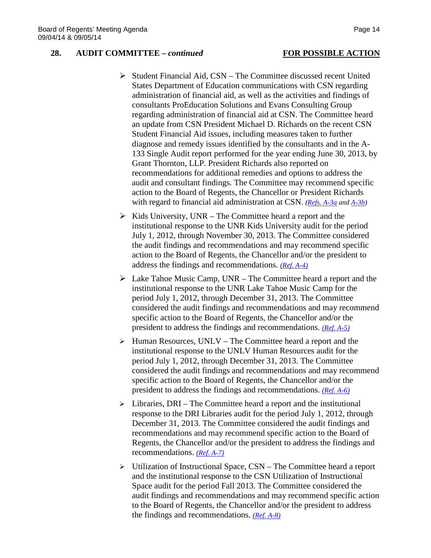### **28. AUDIT COMMITTEE –** *continued* **FOR POSSIBLE ACTION**

## $\triangleright$  Student Financial Aid, CSN – The Committee discussed recent United States Department of Education communications with CSN regarding administration of financial aid, as well as the activities and findings of consultants ProEducation Solutions and Evans Consulting Group regarding administration of financial aid at CSN. The Committee heard an update from CSN President Michael D. Richards on the recent CSN Student Financial Aid issues, including measures taken to further diagnose and remedy issues identified by the consultants and in the A-133 Single Audit report performed for the year ending June 30, 2013, by Grant Thornton, LLP. President Richards also reported on recommendations for additional remedies and options to address the audit and consultant findings. The Committee may recommend specific action to the Board of Regents, the Chancellor or President Richards with regard to financial aid administration at CSN. *[\(Refs. A-3a](http://system.nevada.edu/tasks/sites/Nshe/assets/File/BoardOfRegents/Agendas/2014/sep-mtgs/audit-refs/A-3a.pdf) and [A-3b\)](http://system.nevada.edu/tasks/sites/Nshe/assets/File/BoardOfRegents/Agendas/2014/sep-mtgs/audit-refs/A-3b.pdf)*

- $\triangleright$  Kids University, UNR The Committee heard a report and the institutional response to the UNR Kids University audit for the period July 1, 2012, through November 30, 2013. The Committee considered the audit findings and recommendations and may recommend specific action to the Board of Regents, the Chancellor and/or the president to address the findings and recommendations. *[\(Ref. A-4\)](http://system.nevada.edu/tasks/sites/Nshe/assets/File/BoardOfRegents/Agendas/2014/sep-mtgs/audit-refs/A-4.pdf)*
- $\triangleright$  Lake Tahoe Music Camp, UNR The Committee heard a report and the institutional response to the UNR Lake Tahoe Music Camp for the period July 1, 2012, through December 31, 2013. The Committee considered the audit findings and recommendations and may recommend specific action to the Board of Regents, the Chancellor and/or the president to address the findings and recommendations. *[\(Ref. A-5\)](http://system.nevada.edu/tasks/sites/Nshe/assets/File/BoardOfRegents/Agendas/2014/sep-mtgs/audit-refs/A-5.pdf)*
- $\triangleright$  Human Resources, UNLV The Committee heard a report and the institutional response to the UNLV Human Resources audit for the period July 1, 2012, through December 31, 2013. The Committee considered the audit findings and recommendations and may recommend specific action to the Board of Regents, the Chancellor and/or the president to address the findings and recommendations. *[\(Ref. A-6\)](http://system.nevada.edu/tasks/sites/Nshe/assets/File/BoardOfRegents/Agendas/2014/sep-mtgs/audit-refs/A-6.pdf)*
- $\triangleright$  Libraries, DRI The Committee heard a report and the institutional response to the DRI Libraries audit for the period July 1, 2012, through December 31, 2013. The Committee considered the audit findings and recommendations and may recommend specific action to the Board of Regents, the Chancellor and/or the president to address the findings and recommendations. *[\(Ref. A-7\)](http://system.nevada.edu/tasks/sites/Nshe/assets/File/BoardOfRegents/Agendas/2014/sep-mtgs/audit-refs/A-7.pdf)*
- Utilization of Instructional Space, CSN The Committee heard a report and the institutional response to the CSN Utilization of Instructional Space audit for the period Fall 2013. The Committee considered the audit findings and recommendations and may recommend specific action to the Board of Regents, the Chancellor and/or the president to address the findings and recommendations. *[\(Ref. A-8\)](http://system.nevada.edu/tasks/sites/Nshe/assets/File/BoardOfRegents/Agendas/2014/sep-mtgs/audit-refs/A-8.pdf)*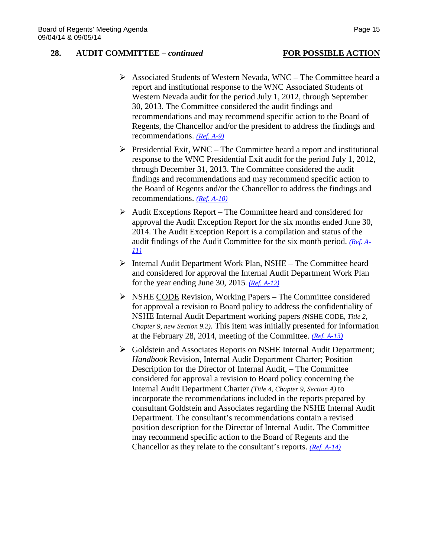### **28. AUDIT COMMITTEE –** *continued* **FOR POSSIBLE ACTION**

- Associated Students of Western Nevada, WNC The Committee heard a report and institutional response to the WNC Associated Students of Western Nevada audit for the period July 1, 2012, through September 30, 2013. The Committee considered the audit findings and recommendations and may recommend specific action to the Board of Regents, the Chancellor and/or the president to address the findings and recommendations. *[\(Ref. A-9\)](http://system.nevada.edu/tasks/sites/Nshe/assets/File/BoardOfRegents/Agendas/2014/sep-mtgs/audit-refs/A-9.pdf)*
- $\triangleright$  Presidential Exit, WNC The Committee heard a report and institutional response to the WNC Presidential Exit audit for the period July 1, 2012, through December 31, 2013. The Committee considered the audit findings and recommendations and may recommend specific action to the Board of Regents and/or the Chancellor to address the findings and recommendations. *[\(Ref. A-10\)](http://system.nevada.edu/tasks/sites/Nshe/assets/File/BoardOfRegents/Agendas/2014/sep-mtgs/audit-refs/A-10.pdf)*
- $\triangleright$  Audit Exceptions Report The Committee heard and considered for approval the Audit Exception Report for the six months ended June 30, 2014. The Audit Exception Report is a compilation and status of the audit findings of the Audit Committee for the six month period. *[\(Ref. A-](http://system.nevada.edu/tasks/sites/Nshe/assets/File/BoardOfRegents/Agendas/2014/sep-mtgs/audit-refs/A-11.pdf)[11\)](http://system.nevada.edu/tasks/sites/Nshe/assets/File/BoardOfRegents/Agendas/2014/sep-mtgs/audit-refs/A-11.pdf)*
- Internal Audit Department Work Plan, NSHE The Committee heard and considered for approval the Internal Audit Department Work Plan for the year ending June 30, 2015. *([Ref. A-12](http://system.nevada.edu/tasks/sites/Nshe/assets/File/BoardOfRegents/Agendas/2014/sep-mtgs/audit-refs/A-12.pdf))*
- $\triangleright$  NSHE CODE Revision, Working Papers The Committee considered for approval a revision to Board policy to address the confidentiality of NSHE Internal Audit Department working papers *(*NSHE CODE*, Title 2, Chapter 9, new Section 9.2).* This item was initially presented for information at the February 28, 2014, meeting of the Committee. *[\(Ref. A-13\)](http://system.nevada.edu/tasks/sites/Nshe/assets/File/BoardOfRegents/Agendas/2014/sep-mtgs/audit-refs/A-13.pdf)*
- Goldstein and Associates Reports on NSHE Internal Audit Department; *Handbook* Revision, Internal Audit Department Charter; Position Description for the Director of Internal Audit, – The Committee considered for approval a revision to Board policy concerning the Internal Audit Department Charter *(Title 4, Chapter 9, Section A)* to incorporate the recommendations included in the reports prepared by consultant Goldstein and Associates regarding the NSHE Internal Audit Department. The consultant's recommendations contain a revised position description for the Director of Internal Audit. The Committee may recommend specific action to the Board of Regents and the Chancellor as they relate to the consultant's reports. *[\(Ref. A-14\)](http://system.nevada.edu/tasks/sites/Nshe/assets/File/BoardOfRegents/Agendas/2014/sep-mtgs/audit-refs/A-14.pdf)*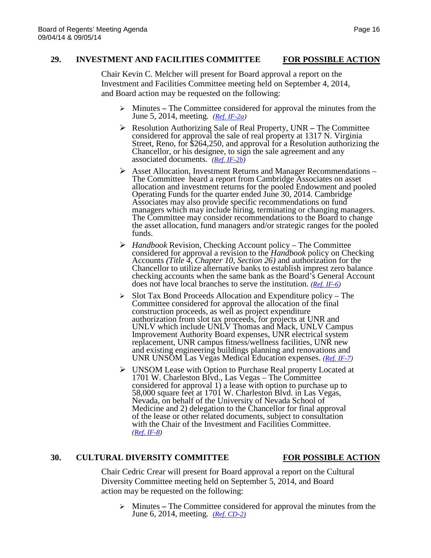## **29. INVESTMENT AND FACILITIES COMMITTEE FOR POSSIBLE ACTION**

Chair Kevin C. Melcher will present for Board approval a report on the Investment and Facilities Committee meeting held on September 4, 2014, and Board action may be requested on the following:

- Minutes **–** The Committee considered for approval the minutes from the June 5, 2014, meeting. *(Ref. [IF-2a\)](http://system.nevada.edu/tasks/sites/Nshe/assets/File/BoardOfRegents/Agendas/2014/sep-mtgs/if-refs/IF-2a.pdf)*
- Resolution Authorizing Sale of Real Property, UNR **–** The Committee Street, Reno, for  $$264,250$ , and approval for a Resolution authorizing the Chancellor, or his designee, to sign the sale agreement and any associated documents. *(Ref. [IF-2b\)](http://system.nevada.edu/tasks/sites/Nshe/assets/File/BoardOfRegents/Agendas/2014/sep-mtgs/if-refs/IF-2b.pdf)*
- Asset Allocation, Investment Returns and Manager Recommendations The Committee heard a report from Cambridge Associates on asset allocation and investment returns for the pooled Endowment and pooled Operating Funds for the quarter ended June 30, 2014. Cambridge Associates may also provide specific recommendations on fund managers which may include hiring, terminating or changing managers. The Committee may consider recommendations to the Board to change the asset allocation, fund managers and/or strategic ranges for the pooled funds.
- *Handbook* Revision, Checking Account policy The Committee considered for approval a revision to the *Handbook* policy on Checking Accounts *(Title 4, Chapter 10, Section 26)* and authorization for the Chancellor to utilize alternative banks to establish imprest zero balance checking accounts when the same bank as the Board's General Account does not have local branches to serve the institution. *[\(Ref. IF-6\)](http://system.nevada.edu/tasks/sites/Nshe/assets/File/BoardOfRegents/Agendas/2014/sep-mtgs/if-refs/IF-6.pdf)*
- $\triangleright$  Slot Tax Bond Proceeds Allocation and Expenditure policy The Committee considered for approval the allocation of the final construction proceeds, as well as project expenditure authorization from slot tax proceeds, for projects at UNR and UNLV which include UNLV Thomas and Mack, UNLV Campus Improvement Authority Board expenses, UNR electrical system replacement, UNR campus fitness/wellness facilities, UNR new and existing engineering buildings planning and renovations and UNR UNSOM Las Vegas Medical Education expenses. *[\(Ref. IF-7\)](http://system.nevada.edu/tasks/sites/Nshe/assets/File/BoardOfRegents/Agendas/2014/sep-mtgs/if-refs/IF-7.pdf)*
- UNSOM Lease with Option to Purchase Real property Located at 1701 W. Charleston Blvd., Las Vegas – The Committee considered for approval 1) a lease with option to purchase up to 58,000 square feet at 1701 W. Charleston Blvd. in Las Vegas, Nevada, on behalf of the University of Nevada School of Medicine and 2) delegation to the Chancellor for final approval of the lease or other related documents, subject to consultation with the Chair of the Investment and Facilities Committee. *[\(Ref. IF-8\)](http://system.nevada.edu/tasks/sites/Nshe/assets/File/BoardOfRegents/Agendas/2014/sep-mtgs/if-refs/IF-8.pdf)*

### **30. CULTURAL DIVERSITY COMMITTEE FOR POSSIBLE ACTION**

Chair Cedric Crear will present for Board approval a report on the Cultural Diversity Committee meeting held on September 5, 2014, and Board action may be requested on the following:

 Minutes **–** The Committee considered for approval the minutes from the June 6, 2014, meeting. *(Ref. [CD-2\)](http://system.nevada.edu/tasks/sites/Nshe/assets/File/BoardOfRegents/Agendas/2014/sep-mtgs/cd-refs/CD-2.pdf)*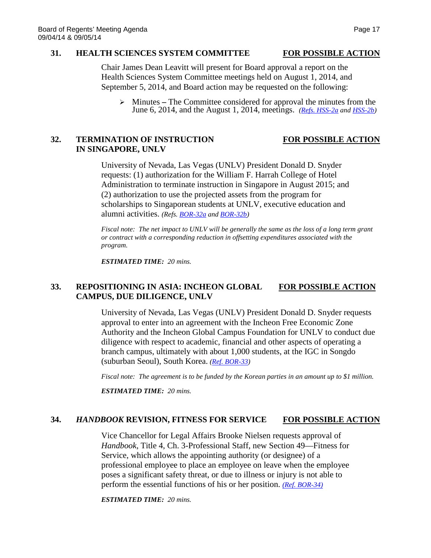### **31. HEALTH SCIENCES SYSTEM COMMITTEE FOR POSSIBLE ACTION**

Chair James Dean Leavitt will present for Board approval a report on the Health Sciences System Committee meetings held on August 1, 2014, and September 5, 2014, and Board action may be requested on the following:

 Minutes **–** The Committee considered for approval the minutes from the June 6, 2014, and the August 1, 2014, meetings. *(Refs. [HSS-2a](http://system.nevada.edu/tasks/sites/Nshe/assets/File/BoardOfRegents/Agendas/2014/sep-mtgs/hss-refs/HSS-2a.pdf) and [HSS-2b\)](http://system.nevada.edu/tasks/sites/Nshe/assets/File/BoardOfRegents/Agendas/2014/sep-mtgs/hss-refs/HSS-2b.pdf)*

## **32. TERMINATION OF INSTRUCTION FOR POSSIBLE ACTION IN SINGAPORE, UNLV**

University of Nevada, Las Vegas (UNLV) President Donald D. Snyder requests: (1) authorization for the William F. Harrah College of Hotel Administration to terminate instruction in Singapore in August 2015; and (2) authorization to use the projected assets from the program for scholarships to Singaporean students at UNLV, executive education and alumni activities. *(Refs. [BOR-32a](http://system.nevada.edu/tasks/sites/Nshe/assets/File/BoardOfRegents/Agendas/2014/sep-mtgs/bor-refs/32a.pdf) and [BOR-32b\)](http://system.nevada.edu/tasks/sites/Nshe/assets/File/BoardOfRegents/Agendas/2014/sep-mtgs/bor-refs/32b.pdf)*

*Fiscal note: The net impact to UNLV will be generally the same as the loss of a long term grant or contract with a corresponding reduction in offsetting expenditures associated with the program.* 

*ESTIMATED TIME: 20 mins.*

## **33. REPOSITIONING IN ASIA: INCHEON GLOBAL FOR POSSIBLE ACTION CAMPUS, DUE DILIGENCE, UNLV**

University of Nevada, Las Vegas (UNLV) President Donald D. Snyder requests approval to enter into an agreement with the Incheon Free Economic Zone Authority and the Incheon Global Campus Foundation for UNLV to conduct due diligence with respect to academic, financial and other aspects of operating a branch campus, ultimately with about 1,000 students, at the IGC in Songdo (suburban Seoul), South Korea. *[\(Ref. BOR-33\)](http://system.nevada.edu/tasks/sites/Nshe/assets/File/BoardOfRegents/Agendas/2014/sep-mtgs/bor-refs/33.pdf)*

*Fiscal note: The agreement is to be funded by the Korean parties in an amount up to \$1 million.* 

*ESTIMATED TIME: 20 mins.*

### **34.** *HANDBOOK* **REVISION, FITNESS FOR SERVICE FOR POSSIBLE ACTION**

Vice Chancellor for Legal Affairs Brooke Nielsen requests approval of *Handbook*, Title 4, Ch. 3-Professional Staff, new Section 49—Fitness for Service, which allows the appointing authority (or designee) of a professional employee to place an employee on leave when the employee poses a significant safety threat, or due to illness or injury is not able to perform the essential functions of his or her position. *[\(Ref. BOR-34\)](http://system.nevada.edu/tasks/sites/Nshe/assets/File/BoardOfRegents/Agendas/2014/sep-mtgs/bor-refs/34.pdf)*

*ESTIMATED TIME: 20 mins.*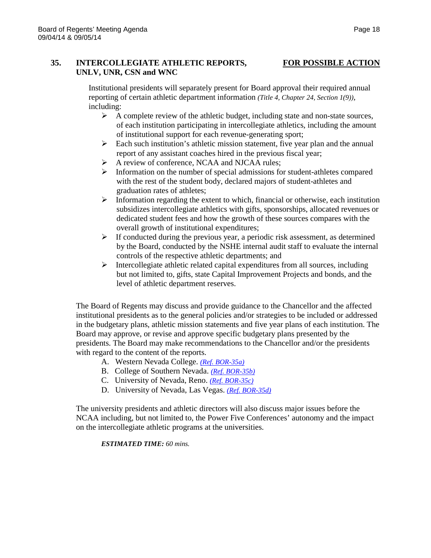### **35. INTERCOLLEGIATE ATHLETIC REPORTS, FOR POSSIBLE ACTION UNLV, UNR, CSN and WNC**

Institutional presidents will separately present for Board approval their required annual reporting of certain athletic department information *(Title 4, Chapter 24, Section 1(9)),*  including:

- $\triangleright$  A complete review of the athletic budget, including state and non-state sources, of each institution participating in intercollegiate athletics, including the amount of institutional support for each revenue-generating sport;
- $\triangleright$  Each such institution's athletic mission statement, five year plan and the annual report of any assistant coaches hired in the previous fiscal year;
- A review of conference, NCAA and NJCAA rules;
- $\triangleright$  Information on the number of special admissions for student-athletes compared with the rest of the student body, declared majors of student-athletes and graduation rates of athletes;
- $\triangleright$  Information regarding the extent to which, financial or otherwise, each institution subsidizes intercollegiate athletics with gifts, sponsorships, allocated revenues or dedicated student fees and how the growth of these sources compares with the overall growth of institutional expenditures;
- $\triangleright$  If conducted during the previous year, a periodic risk assessment, as determined by the Board, conducted by the NSHE internal audit staff to evaluate the internal controls of the respective athletic departments; and
- $\triangleright$  Intercollegiate athletic related capital expenditures from all sources, including but not limited to, gifts, state Capital Improvement Projects and bonds, and the level of athletic department reserves.

The Board of Regents may discuss and provide guidance to the Chancellor and the affected institutional presidents as to the general policies and/or strategies to be included or addressed in the budgetary plans, athletic mission statements and five year plans of each institution. The Board may approve, or revise and approve specific budgetary plans presented by the presidents. The Board may make recommendations to the Chancellor and/or the presidents with regard to the content of the reports.

- A. Western Nevada College. *[\(Ref. BOR-35a\)](http://system.nevada.edu/tasks/sites/Nshe/assets/File/BoardOfRegents/Agendas/2014/sep-mtgs/bor-refs/35a.pdf)*
- B. College of Southern Nevada. *[\(Ref. BOR-35b\)](http://system.nevada.edu/tasks/sites/Nshe/assets/File/BoardOfRegents/Agendas/2014/sep-mtgs/bor-refs/35b.pdf)*
- C. University of Nevada, Reno. *[\(Ref. BOR-35c\)](http://system.nevada.edu/tasks/sites/Nshe/assets/File/BoardOfRegents/Agendas/2014/sep-mtgs/bor-refs/35c.pdf)*
- D. University of Nevada, Las Vegas. *[\(Ref. BOR-35d\)](http://system.nevada.edu/tasks/sites/Nshe/assets/File/BoardOfRegents/Agendas/2014/sep-mtgs/bor-refs/35d.pdf)*

The university presidents and athletic directors will also discuss major issues before the NCAA including, but not limited to, the Power Five Conferences' autonomy and the impact on the intercollegiate athletic programs at the universities.

*ESTIMATED TIME: 60 mins.*